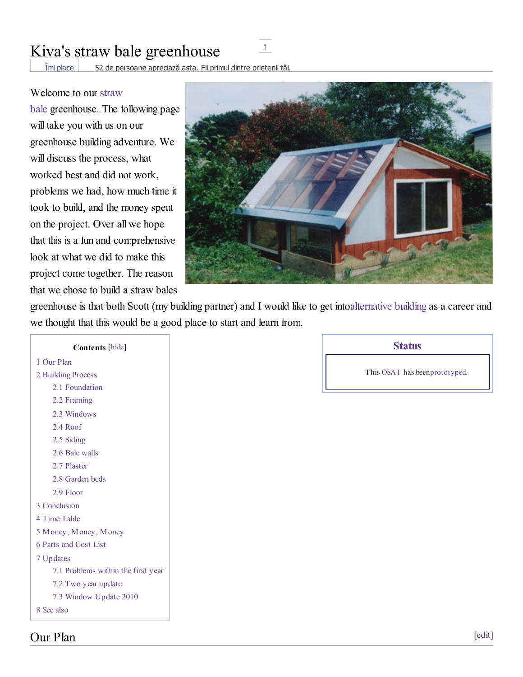# Kiva's straw bale greenhouse

Îmi place 52 de persoane apreciază asta. Fii primul dintre prietenii tăi.

#### Welcome to our straw

bale greenhouse. The following page will take you with us on our greenhouse building adventure. We will discuss the process, what worked best and did not work, problems we had, how much time it took to build, and the money spent on the project. Over all we hope that this is a fun and comprehensive look at what we did to make this project come together. The reason that we chose to build a straw bales



greenhouse is that both Scott (my building partner) and I would like to get intoalternative building as a career and we thought that this would be a good place to start and learn from.

1

| <b>Contents</b> [hide]             | <b>Status</b>                 |
|------------------------------------|-------------------------------|
| 1 Our Plan                         |                               |
| 2 Building Process                 | This OSAT has beenprototyped. |
| 2.1 Foundation                     |                               |
| 2.2 Framing                        |                               |
| 2.3 Windows                        |                               |
| 2.4 Roof                           |                               |
| 2.5 Siding                         |                               |
| 2.6 Bale walls                     |                               |
| 2.7 Plaster                        |                               |
| 2.8 Garden beds                    |                               |
| 2.9 Floor                          |                               |
| 3 Conclusion                       |                               |
| 4 Time Table                       |                               |
| 5 Money, Money, Money              |                               |
| 6 Parts and Cost List              |                               |
| 7 Updates                          |                               |
| 7.1 Problems within the first year |                               |
| 7.2 Two year update                |                               |
| 7.3 Window Update 2010             |                               |
| 8 See also                         |                               |

# Our Plan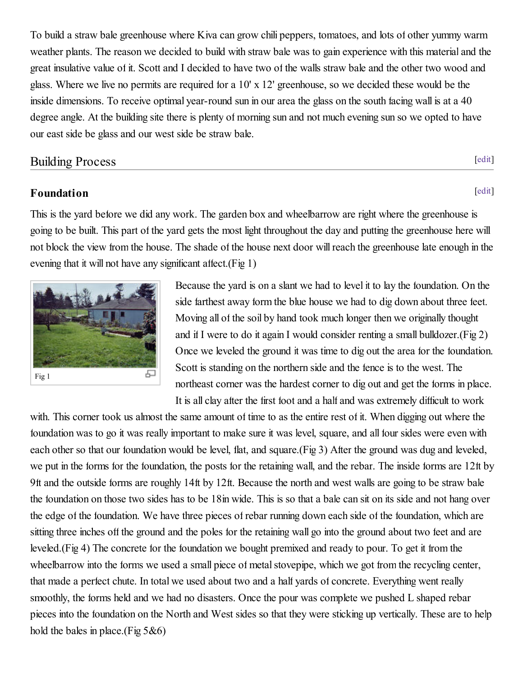To build a straw bale greenhouse where Kiva can grow chili peppers, tomatoes, and lots of other yummy warm weather plants. The reason we decided to build with straw bale was to gain experience with this material and the great insulative value of it. Scott and I decided to have two of the walls straw bale and the other two wood and glass. Where we live no permits are required for a 10' x 12' greenhouse, so we decided these would be the inside dimensions. To receive optimal year-round sun in our area the glass on the south facing wall is at a 40 degree angle. At the building site there is plenty of morning sun and not much evening sun so we opted to have our east side be glass and our west side be straw bale.

# Building Process

### Foundation

This is the yard before we did any work. The garden box and wheelbarrow are right where the greenhouse is going to be built. This part of the yard gets the most light throughout the day and putting the greenhouse here will not block the view from the house. The shade of the house next door will reach the greenhouse late enough in the evening that it will not have any significant affect.(Fig 1)

௬ Fig 1

Because the yard is on a slant we had to level it to lay the foundation. On the side farthest away form the blue house we had to dig down about three feet. Moving all of the soil by hand took much longer then we originally thought and if I were to do it again I would consider renting a small bulldozer. (Fig 2) Once we leveled the ground it was time to dig out the area for the foundation. Scott is standing on the northern side and the fence is to the west. The northeast corner was the hardest corner to dig out and get the forms in place. It is all clay after the first foot and a half and was extremely difficult to work

with. This corner took us almost the same amount of time to as the entire rest of it. When digging out where the foundation was to go it was really important to make sure it was level, square, and all four sides were even with each other so that our foundation would be level, flat, and square.(Fig 3) After the ground was dug and leveled, we put in the forms for the foundation, the posts for the retaining wall, and the rebar. The inside forms are 12ft by 9ft and the outside forms are roughly 14ft by 12ft. Because the north and west walls are going to be straw bale the foundation on those two sides has to be 18in wide. This is so that a bale can sit on its side and not hang over the edge of the foundation. We have three pieces of rebar running down each side of the foundation, which are sitting three inches off the ground and the poles for the retaining wall go into the ground about two feet and are leveled.(Fig 4) The concrete for the foundation we bought premixed and ready to pour. To get it from the wheelbarrow into the forms we used a small piece of metal stovepipe, which we got from the recycling center, that made a perfect chute. In total we used about two and a half yards of concrete. Everything went really smoothly, the forms held and we had no disasters. Once the pour was complete we pushed L shaped rebar pieces into the foundation on the North and West sides so that they were sticking up vertically. These are to help hold the bales in place.(Fig  $5&6$ )

[edit]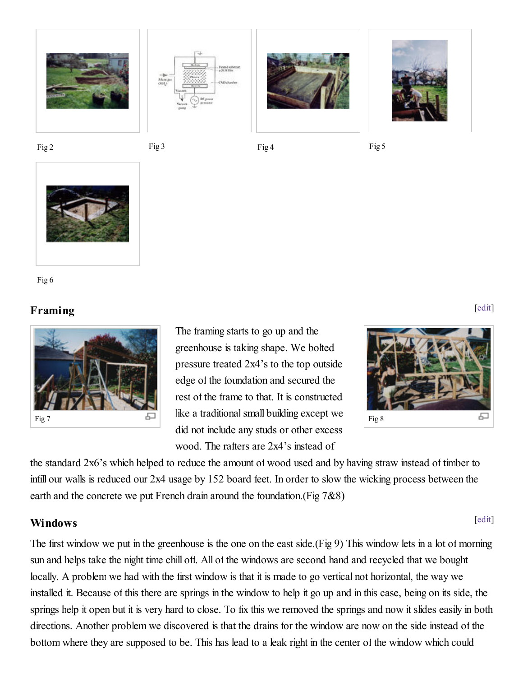













# Framing



Fig 7 **Fig 7** like a traditional small building except we Fig 8 The framing starts to go up and the greenhouse is taking shape. We bolted pressure treated 2x4's to the top outside edge of the foundation and secured the rest of the frame to that. It is constructed did not include any studs or other excess wood. The rafters are 2x4's instead of



the standard 2x6's which helped to reduce the amount of wood used and by having straw instead of timber to infill our walls is reduced our 2x4 usage by 152 board feet. In order to slow the wicking process between the earth and the concrete we put French drain around the foundation. (Fig 7&8)

# Windows

The first window we put in the greenhouse is the one on the east side.(Fig 9) This window lets in a lot of morning sun and helps take the night time chill off. All of the windows are second hand and recycled that we bought locally. A problem we had with the first window is that it is made to go vertical not horizontal, the way we installed it. Because of this there are springs in the window to help it go up and in this case, being on its side, the springs help it open but it is very hard to close. To fix this we removed the springs and now it slides easily in both directions. Another problem we discovered is that the drains for the window are now on the side instead of the bottom where they are supposed to be. This has lead to a leak right in the center of the window which could

[edit]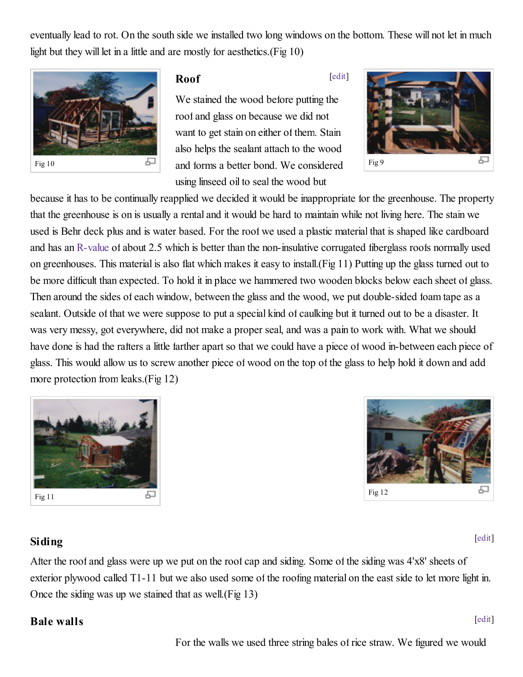eventually lead to rot. On the south side we installed two long windows on the bottom. These will not let in much light but they will let in a little and are mostly for aesthetics. (Fig 10)

[edit]



#### Roof

Fig 10  $\Box$  and forms a better bond. We considered Fig 9 We stained the wood before putting the roof and glass on because we did not want to get stain on either of them. Stain also helps the sealant attach to the wood using linseed oil to seal the wood but



because it has to be continually reapplied we decided it would be inappropriate for the greenhouse. The property that the greenhouse is on is usually a rental and it would be hard to maintain while not living here. The stain we used is Behr deck plus and is water based. For the roof we used a plastic material that is shaped like cardboard and has an R-value of about 2.5 which is better than the non-insulative corrugated fiberglass roofs normally used on greenhouses. This material is also flat which makes it easy to install.(Fig 11) Putting up the glass turned out to be more difficult than expected. To hold it in place we hammered two wooden blocks below each sheet of glass. Then around the sides of each window, between the glass and the wood, we put double-sided foam tape as a sealant. Outside of that we were suppose to put a special kind of caulking but it turned out to be a disaster. It was very messy, got everywhere, did not make a proper seal, and was a pain to work with. What we should have done is had the rafters a little farther apart so that we could have a piece of wood in-between each piece of glass. This would allow us to screw another piece of wood on the top ofthe glass to help hold it down and add more protection from leaks.(Fig 12)





# Siding

[edit]

After the roof and glass were up we put on the roof cap and siding. Some of the siding was 4'x8' sheets of exterior plywood called T1-11 but we also used some of the roofing material on the east side to let more light in. Once the siding was up we stained that as well.(Fig 13)

# Bale walls

[edit]

For the walls we used three string bales of rice straw. We figured we would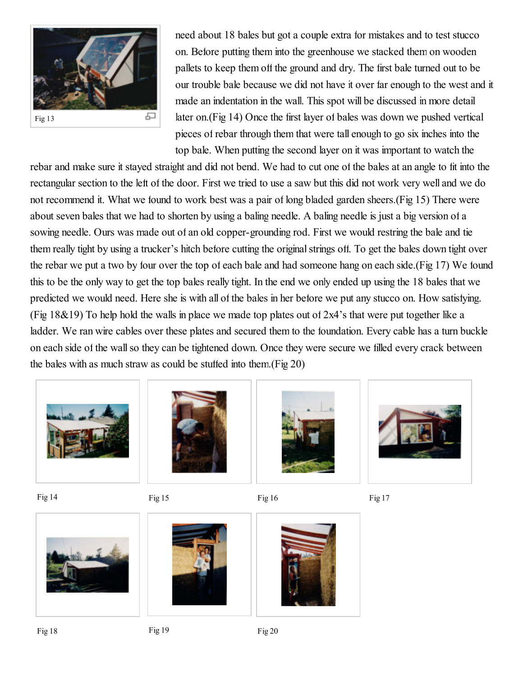

need about 18 bales but got a couple extra for mistakes and to test stucco on. Before putting them into the greenhouse we stacked them on wooden pallets to keep them off the ground and dry. The first bale turned out to be our trouble bale because we did not have it over far enough to the west and it made an indentation in the wall. This spot will be discussed in more detail later on.(Fig 14) Once the first layer of bales was down we pushed vertical pieces of rebar through them that were tall enough to go six inches into the top bale. When putting the second layer on it was important to watch the

rebar and make sure it stayed straight and did not bend. We had to cut one of the bales at an angle to fit into the rectangular section to the left of the door. First we tried to use a saw but this did not work very well and we do not recommend it. What we found to work best was a pair of long bladed garden sheers. (Fig 15) There were about seven bales that we had to shorten by using a baling needle. A baling needle is just a big version of a sowing needle. Ours was made out of an old copper-grounding rod. First we would restring the bale and tie them really tight by using a trucker's hitch before cutting the originalstrings off. To get the bales down tight over the rebar we put a two by four over the top of each bale and had someone hang on each side.(Fig 17) We found this to be the only way to get the top bales really tight. In the end we only ended up using the 18 bales that we predicted we would need. Here she is with all of the bales in her before we put any stucco on. How satisfying. (Fig 18&19) To help hold the walls in place we made top plates out of  $2x4$ 's that were put together like a ladder. We ran wire cables over these plates and secured them to the foundation. Every cable has a turn buckle on each side of the wall so they can be tightened down. Once they were secure we filled every crack between the bales with as much straw as could be stuffed into them.(Fig 20)









Fig 14 **Fig 15** Fig 16 **Fig 16** Fig 17 **Fig 17** Fig 17









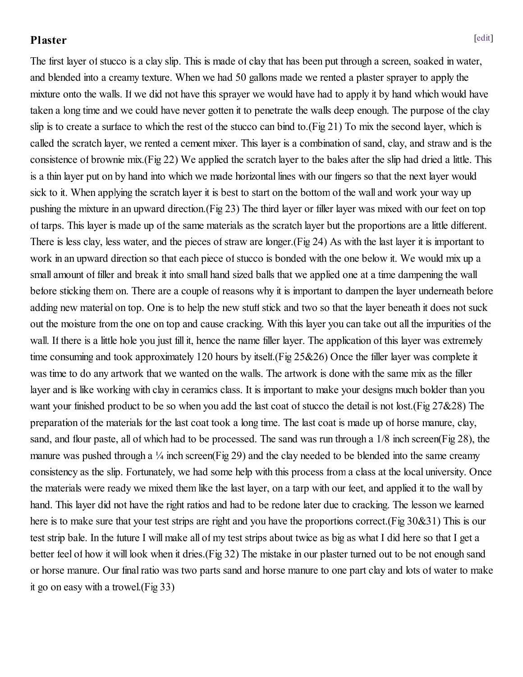#### **Plaster**  $[edit]$ Plaster

The first layer of stucco is a clay slip. This is made of clay that has been put through a screen, soaked in water, and blended into a creamy texture. When we had 50 gallons made we rented a plaster sprayer to apply the mixture onto the walls. If we did not have this sprayer we would have had to apply it by hand which would have taken a long time and we could have never gotten it to penetrate the walls deep enough. The purpose of the clay slip is to create a surface to which the rest of the stucco can bind to.(Fig 21) To mix the second layer, which is called the scratch layer, we rented a cement mixer. This layer is a combination of sand, clay, and straw and is the consistence of brownie mix.(Fig 22) We applied the scratch layer to the bales after the slip had dried a little. This is a thin layer put on by hand into which we made horizontal lines with our fingers so that the next layer would sick to it. When applying the scratch layer it is best to start on the bottom of the wall and work your way up pushing the mixture in an upward direction.(Fig 23) The third layer or filler layer was mixed with our feet on top oftarps. This layer is made up of the same materials as the scratch layer but the proportions are a little different. There is less clay, less water, and the pieces of straw are longer.(Fig 24) As with the last layer it is important to work in an upward direction so that each piece of stucco is bonded with the one below it. We would mix up a small amount of filler and break it into small hand sized balls that we applied one at a time dampening the wall before sticking them on. There are a couple of reasons why it is important to dampen the layer underneath before adding new material on top. One is to help the new stuff stick and two so that the layer beneath it does not suck out the moisture from the one on top and cause cracking. With this layer you can take out all the impurities of the wall. If there is a little hole you just fill it, hence the name filler layer. The application of this layer was extremely time consuming and took approximately 120 hours by itself.(Fig 25&26) Once the filler layer was complete it was time to do any artwork that we wanted on the walls. The artwork is done with the same mix as the filler layer and is like working with clay in ceramics class. It is important to make your designs much bolder than you want your finished product to be so when you add the last coat of stucco the detail is not lost.(Fig  $27&28$ ) The preparation of the materials for the last coat took a long time. The last coat is made up of horse manure, clay, sand, and flour paste, all of which had to be processed. The sand was run through a 1/8 inch screen(Fig 28), the manure was pushed through a  $\frac{1}{4}$  inch screen(Fig 29) and the clay needed to be blended into the same creamy consistency as the slip. Fortunately, we had some help with this process from a class at the local university. Once the materials were ready we mixed them like the last layer, on a tarp with our feet, and applied it to the wall by hand. This layer did not have the right ratios and had to be redone later due to cracking. The lesson we learned here is to make sure that your test strips are right and you have the proportions correct. (Fig 30&31) This is our test strip bale. In the future I will make all of my test strips about twice as big as what I did here so that I get a better feel of how it will look when it dries.(Fig 32) The mistake in our plaster turned out to be not enough sand or horse manure. Our final ratio was two parts sand and horse manure to one part clay and lots of water to make it go on easy with a trowel.(Fig 33)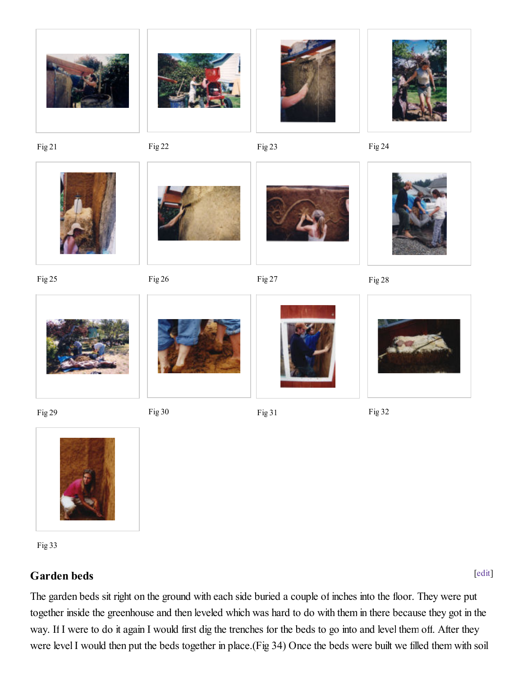

















Fig 29 Fig 30 Fig 30 Fig 31 Fig 32





# Garden beds

[edit]

The garden beds sit right on the ground with each side buried a couple of inches into the floor. They were put together inside the greenhouse and then leveled which was hard to do with them in there because they got in the way. If I were to do it again I would first dig the trenches for the beds to go into and level them off. After they were level I would then put the beds together in place.(Fig 34) Once the beds were built we filled them with soil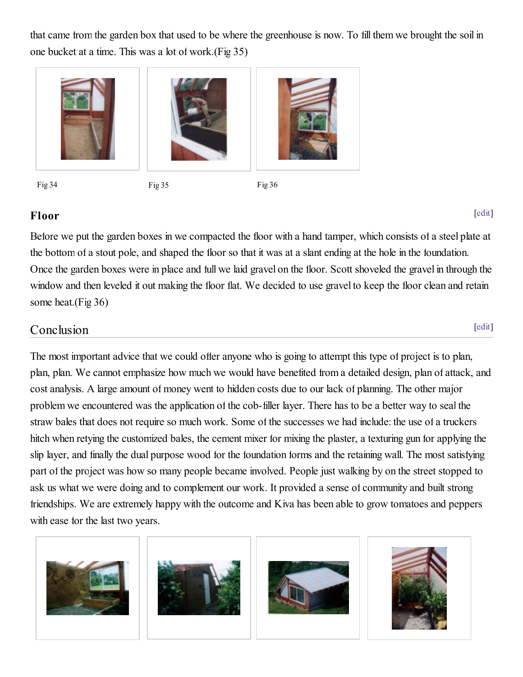that came from the garden box that used to be where the greenhouse is now. To fill them we brought the soil in one bucket at a time. This was a lot of work.(Fig 35)





#### Fig 34 **Fig 35** Fig 36

#### Floor

Before we put the garden boxes in we compacted the floor with a hand tamper, which consists of a steel plate at the bottom of a stout pole, and shaped the floor so that it was at a slant ending at the hole in the foundation. Once the garden boxes were in place and full we laid gravel on the floor. Scott shoveled the gravel in through the window and then leveled it out making the floor flat. We decided to use gravel to keep the floor clean and retain some heat.(Fig 36)

### **Conclusion**

The most important advice that we could offer anyone who is going to attempt this type of project is to plan, plan, plan. We cannot emphasize how much we would have benefited from a detailed design, plan of attack, and cost analysis. A large amount of money went to hidden costs due to our lack of planning. The other major problem we encountered was the application of the cob-filler layer. There has to be a better way to seal the straw bales that does not require so much work. Some of the successes we had include: the use of a truckers hitch when retying the customized bales, the cement mixer for mixing the plaster, a texturing gun for applying the slip layer, and finally the dual purpose wood for the foundation forms and the retaining wall. The most satisfying part of the project was how so many people became involved. People just walking by on the street stopped to ask us what we were doing and to complement our work. It provided a sense of community and built strong friendships. We are extremely happy with the outcome and Kiva has been able to grow tomatoes and peppers with ease for the last two years.









[edit]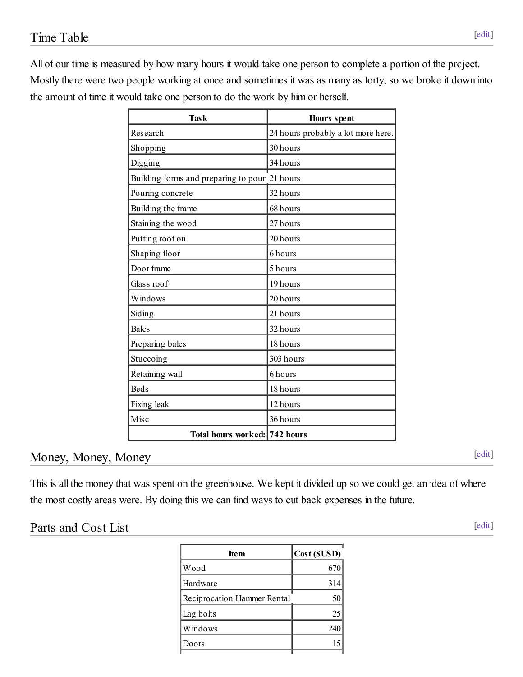All of our time is measured by how many hours it would take one person to complete a portion of the project. Mostly there were two people working at once and sometimes it was as many as forty, so we broke it down into the amount of time it would take one person to do the work by him or herself.

| Task                                          | <b>Hours</b> spent                 |
|-----------------------------------------------|------------------------------------|
| Research                                      | 24 hours probably a lot more here. |
| Shopping                                      | 30 hours                           |
| Digging                                       | 34 hours                           |
| Building forms and preparing to pour 21 hours |                                    |
| Pouring concrete                              | 32 hours                           |
| Building the frame                            | 68 hours                           |
| Staining the wood                             | 27 hours                           |
| Putting roof on                               | 20 hours                           |
| Shaping floor                                 | 6 hours                            |
| Door frame                                    | 5 hours                            |
| Glass roof                                    | 19 hours                           |
| Windows                                       | 20 hours                           |
| Siding                                        | 21 hours                           |
| <b>Bales</b>                                  | 32 hours                           |
| Preparing bales                               | 18 hours                           |
| Stuccoing                                     | 303 hours                          |
| Retaining wall                                | 6 hours                            |
| Beds                                          | 18 hours                           |
| Fixing leak                                   | 12 hours                           |
| Misc                                          | 36 hours                           |
| Total hours worked: 742 hours                 |                                    |

# Money, Money, Money

This is all the money that was spent on the greenhouse. We kept it divided up so we could get an idea of where the most costly areas were. By doing this we can find ways to cut back expenses in the future.

# Parts and Cost List

| Item                        | Cost (\$USD) |
|-----------------------------|--------------|
| Wood                        | 67           |
| Hardware                    | 314          |
| Reciprocation Hammer Rental | 50           |
| Lag bolts                   | 25           |
| Windows                     | 24           |
| <b>IDoors</b>               |              |

[edit]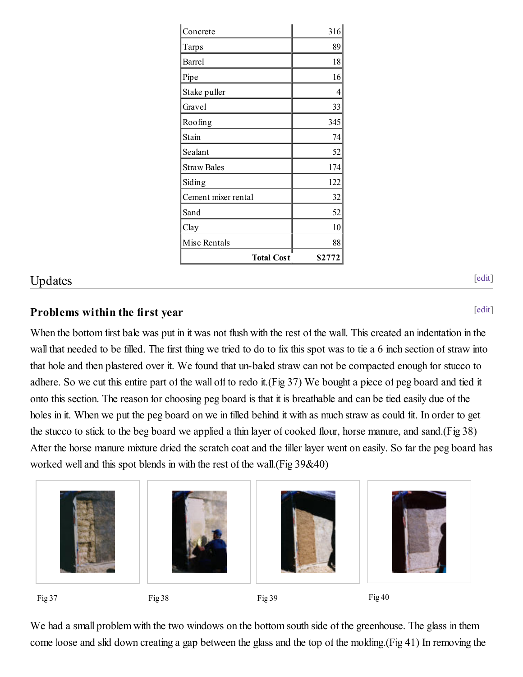| Concrete            | 316    |
|---------------------|--------|
| Tarps               | 89     |
| Barrel              | 18     |
| Pipe                | 16     |
| Stake puller        | 4      |
| Gravel              | 33     |
| Roofing             | 345    |
| Stain               | 74     |
| Sealant             | 52     |
| <b>Straw Bales</b>  | 174    |
| Siding              | 122    |
| Cement mixer rental | 32     |
| Sand                | 52     |
| Clay                | 10     |
| Misc Rentals        | 88     |
| <b>Total Cost</b>   | \$2772 |

# Updates

# Problems within the first year

When the bottom first bale was put in it was not flush with the rest of the wall. This created an indentation in the wall that needed to be filled. The first thing we tried to do to fix this spot was to tie a 6 inch section of straw into that hole and then plastered over it. We found that un-baled straw can not be compacted enough for stucco to adhere. So we cut this entire part of the wall off to redo it.(Fig 37) We bought a piece of peg board and tied it onto this section. The reason for choosing peg board is that it is breathable and can be tied easily due of the holes in it. When we put the peg board on we in filled behind it with as much straw as could fit. In order to get the stucco to stick to the beg board we applied a thin layer of cooked flour, horse manure, and sand.(Fig 38) After the horse manure mixture dried the scratch coat and the filler layer went on easily. So far the peg board has worked well and this spot blends in with the rest of the wall.(Fig 39&40)





We had a small problem with the two windows on the bottom south side of the greenhouse. The glass in them come loose and slid down creating a gap between the glass and the top of the molding.(Fig 41) In removing the

[edit]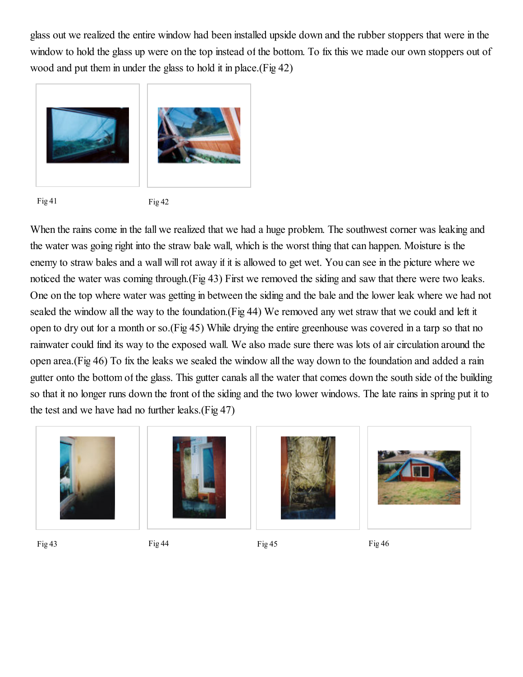glass out we realized the entire window had been installed upside down and the rubber stoppers that were in the window to hold the glass up were on the top instead of the bottom. To fix this we made our own stoppers out of wood and put them in under the glass to hold it in place.(Fig 42)



Fig 41 Fig 42

When the rains come in the fall we realized that we had a huge problem. The southwest corner was leaking and the water was going right into the straw bale wall, which is the worst thing that can happen. Moisture is the enemy to straw bales and a wall will rot away if it is allowed to get wet. You can see in the picture where we noticed the water was coming through.(Fig 43) First we removed the siding and saw that there were two leaks. One on the top where water was getting in between the siding and the bale and the lower leak where we had not sealed the window all the way to the foundation.(Fig 44) We removed any wet straw that we could and left it open to dry out for a month or so.(Fig 45) While drying the entire greenhouse was covered in a tarp so that no rainwater could find its way to the exposed wall. We also made sure there was lots of air circulation around the open area.(Fig 46) To fix the leaks we sealed the window all the way down to the foundation and added a rain gutter onto the bottom of the glass. This gutter canals all the water that comes down the south side of the building so that it no longer runs down the front of the siding and the two lower windows. The late rains in spring put it to the test and we have had no further leaks.(Fig 47)











Fig 43 **Fig 44** Fig 46 Fig 46 Fig 46 Fig 46 Fig 46 Fig 46

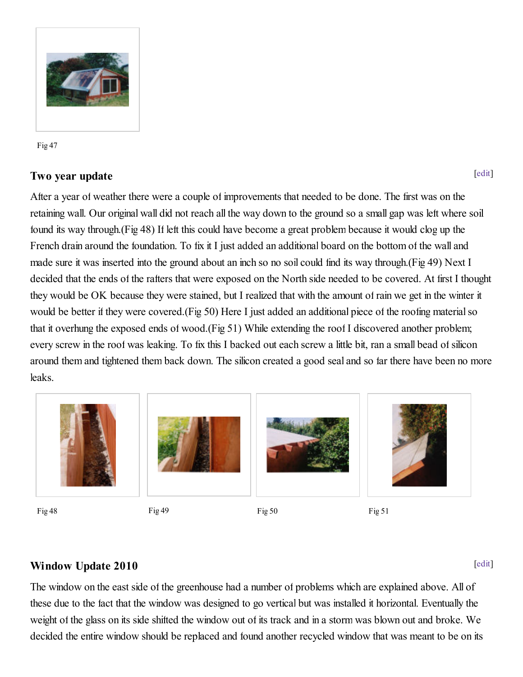

Fig 47

### Two year update

[edit]

After a year of weather there were a couple of improvements that needed to be done. The first was on the retaining wall. Our original wall did not reach all the way down to the ground so a small gap was left where soil found its way through.(Fig 48) If left this could have become a great problem because it would clog up the French drain around the foundation. To fix it I just added an additional board on the bottom of the wall and made sure it was inserted into the ground about an inch so no soil could find its way through.(Fig 49) Next I decided that the ends of the rafters that were exposed on the North side needed to be covered. At first I thought they would be OK because they were stained, but I realized that with the amount ofrain we get in the winter it would be better if they were covered.(Fig 50) Here I just added an additional piece of the roofing material so that it overhung the exposed ends of wood.(Fig 51) While extending the roof I discovered another problem; every screw in the roof was leaking. To fix this I backed out each screw a little bit, ran a small bead of silicon around them and tightened them back down. The silicon created a good seal and so far there have been no more leaks.







Fig 48 **Fig 51** Fig 49 **Fig 50** Fig 51

# Window Update 2010

[edit]

The window on the east side of the greenhouse had a number of problems which are explained above. All of these due to the fact that the window was designed to go vertical but was installed it horizontal. Eventually the weight of the glass on its side shifted the window out of its track and in a storm was blown out and broke. We decided the entire window should be replaced and found another recycled window that was meant to be on its